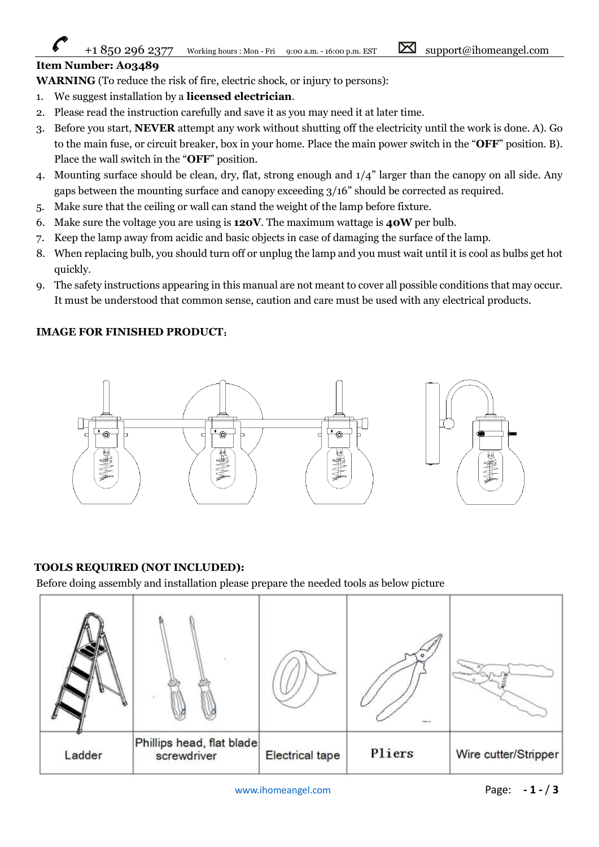## +1 850 296 2377 Working hours : Mon - Fri 9:00 a.m. - 16:00 p.m. EST  $\boxtimes$  support@ihomeangel.com

## Item Number: A03489

WARNING (To reduce the risk of fire, electric shock, or injury to persons):

- 1. We suggest installation by a licensed electrician.
- 2. Please read the instruction carefully and save it as you may need it at later time.
- 3. Before you start, NEVER attempt any work without shutting off the electricity until the work is done. A). Go to the main fuse, or circuit breaker, box in your home. Place the main power switch in the "OFF" position. B). Place the wall switch in the "OFF" position.
- 4. Mounting surface should be clean, dry, flat, strong enough and 1/4" larger than the canopy on all side. Any gaps between the mounting surface and canopy exceeding 3/16" should be corrected as required.
- 5. Make sure that the ceiling or wall can stand the weight of the lamp before fixture.
- 6. Make sure the voltage you are using is  $120V$ . The maximum wattage is  $40W$  per bulb.
- 7. Keep the lamp away from acidic and basic objects in case of damaging the surface of the lamp.
- 8. When replacing bulb, you should turn off or unplug the lamp and you must wait until it is cool as bulbs get hot quickly.
- 9. The safety instructions appearing in this manual are not meant to cover all possible conditions that may occur. It must be understood that common sense, caution and care must be used with any electrical products.

## IMAGE FOR FINISHED PRODUCT:



## TOOLS REQUIRED (NOT INCLUDED):

Before doing assembly and installation please prepare the needed tools as below picture

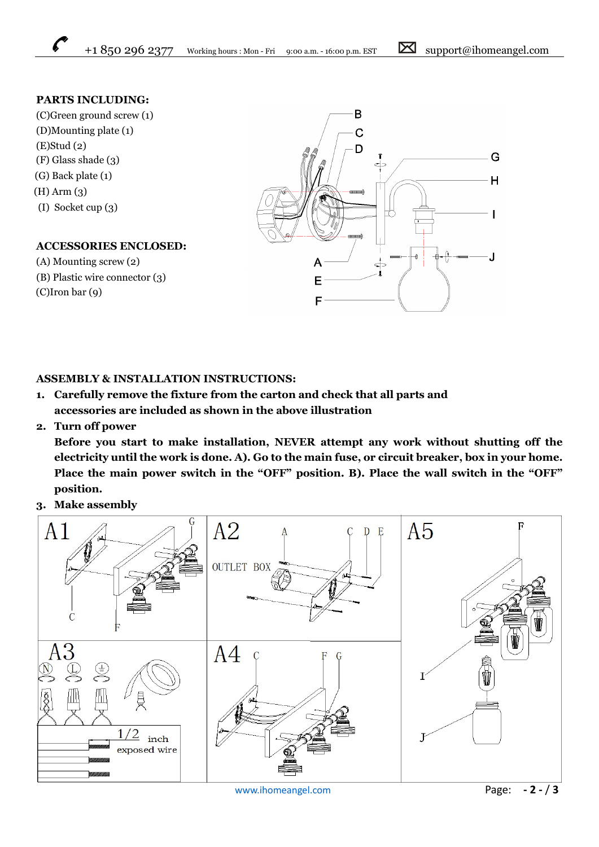## PARTS INCLUDING:

(C)Green ground screw (1) (D)Mounting plate (1) (E)Stud (2) (F) Glass shade (3) (G) Back plate (1) (H) Arm (3) (I) Socket cup (3)

## ACCESSORIES ENCLOSED:

- (A) Mounting screw (2)
- (B) Plastic wire connector (3) (C)Iron bar (9)

## ASSEMBLY & INSTALLATION INSTRUCTIONS:

- 1. Carefully remove the fixture from the carton and check that all parts and accessories are included as shown in the above illustration
- 2. Turn off power

Before you start to make installation, NEVER attempt any work without shutting off the electricity until the work is done. A). Go to the main fuse, or circuit breaker, box in your home. Place the main power switch in the "OFF" position. B). Place the wall switch in the "OFF" position.

3. Make assembly